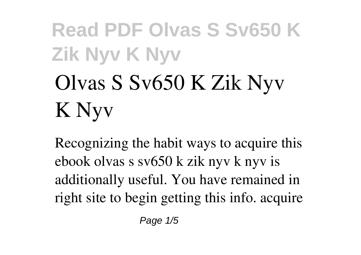# **Olvas S Sv650 K Zik Nyv K Nyv**

Recognizing the habit ways to acquire this ebook **olvas s sv650 k zik nyv k nyv** is additionally useful. You have remained in right site to begin getting this info. acquire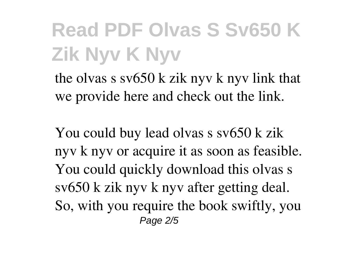the olvas s sv650 k zik nyv k nyv link that we provide here and check out the link.

You could buy lead olvas s sv650 k zik nyv k nyv or acquire it as soon as feasible. You could quickly download this olvas s sv650 k zik nyv k nyv after getting deal. So, with you require the book swiftly, you Page 2/5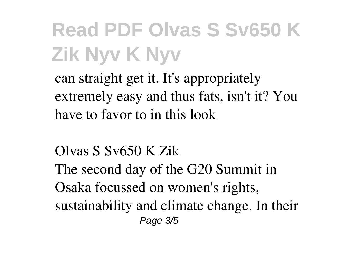can straight get it. It's appropriately extremely easy and thus fats, isn't it? You have to favor to in this look

**Olvas S Sv650 K Zik** The second day of the G20 Summit in Osaka focussed on women's rights, sustainability and climate change. In their Page 3/5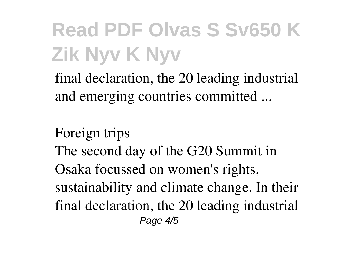final declaration, the 20 leading industrial and emerging countries committed ...

**Foreign trips** The second day of the G20 Summit in Osaka focussed on women's rights, sustainability and climate change. In their final declaration, the 20 leading industrial Page  $4/5$